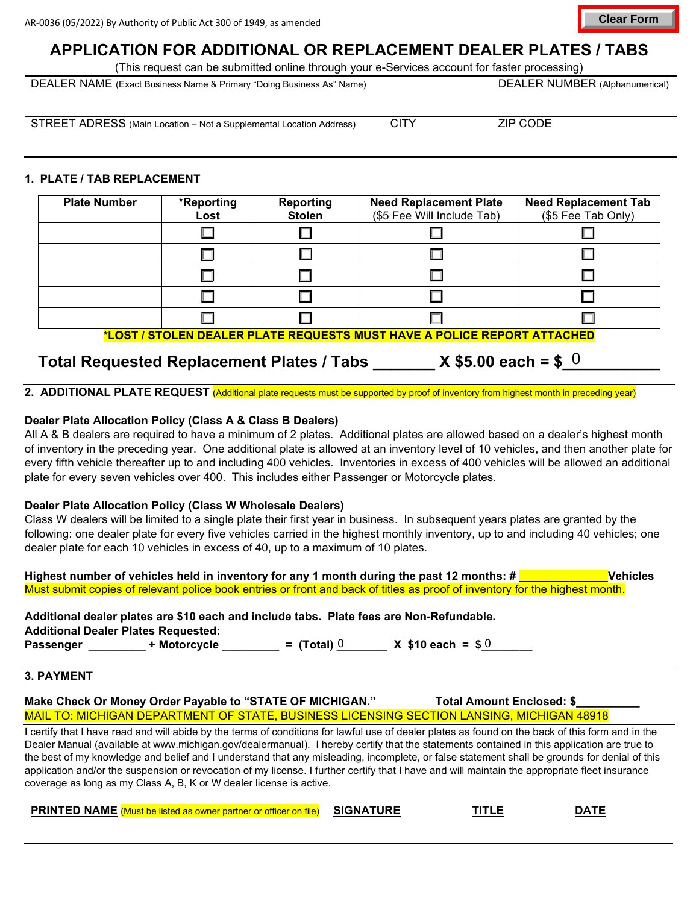**APPLICATION FOR ADDITIONAL OR REPLACEMENT DEALER PLATES / TABS**

(This request can be submitted online through your e-Services account for faster processing)

DEALER NAME (Exact Business Name & Primary "Doing Business As" Name) DEALER NUMBER (Alphanumerical)

STREET ADRESS (Main Location – Not a Supplemental Location Address) CITY ZIP CODE

# **1. PLATE / TAB REPLACEMENT**

| <b>Plate Number</b>                                                            | *Reporting<br>Lost | <b>Reporting</b><br><b>Stolen</b> | <b>Need Replacement Plate</b><br>(\$5 Fee Will Include Tab) | <b>Need Replacement Tab</b><br>(\$5 Fee Tab Only) |  |  |  |
|--------------------------------------------------------------------------------|--------------------|-----------------------------------|-------------------------------------------------------------|---------------------------------------------------|--|--|--|
|                                                                                |                    |                                   |                                                             |                                                   |  |  |  |
|                                                                                |                    |                                   |                                                             |                                                   |  |  |  |
|                                                                                |                    |                                   |                                                             |                                                   |  |  |  |
|                                                                                |                    |                                   |                                                             |                                                   |  |  |  |
|                                                                                |                    |                                   |                                                             |                                                   |  |  |  |
| <u>*LOST / STOLEN DEALER PLATE REQUESTS MUST HAVE A POLICE REPORT ATTACHED</u> |                    |                                   |                                                             |                                                   |  |  |  |

# **Total Requested Replacement Plates / Tabs \_\_\_\_\_\_\_ X \$5.00 each = \$\_\_\_\_\_\_\_\_\_\_\_** 0

**2. ADDITIONAL PLATE REQUEST** (Additional plate requests must be supported by proof of inventory from highest month in preceding year)

# **Dealer Plate Allocation Policy (Class A & Class B Dealers)**

All A & B dealers are required to have a minimum of 2 plates. Additional plates are allowed based on a dealer's highest month of inventory in the preceding year. One additional plate is allowed at an inventory level of 10 vehicles, and then another plate for every fifth vehicle thereafter up to and including 400 vehicles. Inventories in excess of 400 vehicles will be allowed an additional plate for every seven vehicles over 400. This includes either Passenger or Motorcycle plates.

## **Dealer Plate Allocation Policy (Class W Wholesale Dealers)**

Class W dealers will be limited to a single plate their first year in business. In subsequent years plates are granted by the following: one dealer plate for every five vehicles carried in the highest monthly inventory, up to and including 40 vehicles; one dealer plate for each 10 vehicles in excess of 40, up to a maximum of 10 plates.

| Highest number of vehicles held in inventory for any 1 month during the past 12 months: # $\sqrt{\phantom{a}}$              | Vehicles |
|-----------------------------------------------------------------------------------------------------------------------------|----------|
| Must submit copies of relevant police book entries or front and back of titles as proof of inventory for the highest month. |          |

|                                            |              |                 | Additional dealer plates are \$10 each and include tabs. Plate fees are Non-Refundable. |  |
|--------------------------------------------|--------------|-----------------|-----------------------------------------------------------------------------------------|--|
| <b>Additional Dealer Plates Requested:</b> |              |                 |                                                                                         |  |
| <b>Passenger</b>                           | + Motorcycle | $=$ (Total) $0$ | $X$ \$10 each = \$0                                                                     |  |

## **3. PAYMENT**

**Make Check Or Money Order Payable to "STATE OF MICHIGAN."** Total Amount Enclosed: \$ MAIL TO: MICHIGAN DEPARTMENT OF STATE, BUSINESS LICENSING SECTION LANSING, MICHIGAN 48918

I certify that I have read and will abide by the terms of conditions for lawful use of dealer plates as found on the back of this form and in the Dealer Manual (available at [www.michigan.gov/dealermanual\)](https://www.michigan.gov/sos/resources/forms/dealer-manual). I hereby certify that the statements contained in this application are true to the best of my knowledge and belief and I understand that any misleading, incomplete, or false statement shall be grounds for denial of this application and/or [the suspension or revocation of my](https://www.michigan.gov/sos) license. I further certify that I have and will maintain the appropriate fleet insurance coverage as long as my Class A, B, K or W dealer license is active.

| <b>PRINTED NAME</b> (Must be listed as owner partner or officer on file) | <b>SIGNATURE</b> | TITLE | DA <sup>T</sup> |
|--------------------------------------------------------------------------|------------------|-------|-----------------|
|--------------------------------------------------------------------------|------------------|-------|-----------------|

**Clear Form**